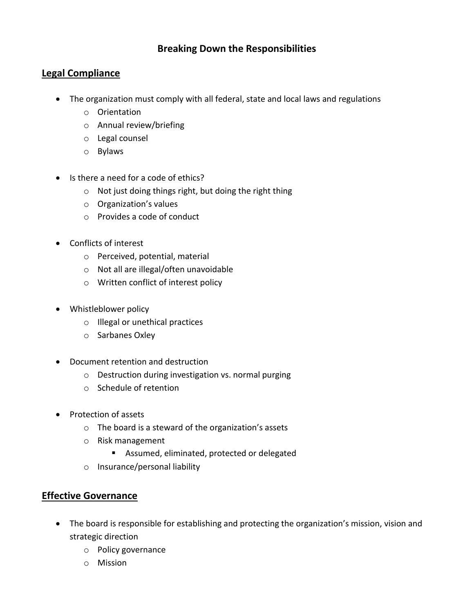## **Breaking Down the Responsibilities**

## **Legal Compliance**

- The organization must comply with all federal, state and local laws and regulations
	- o Orientation
	- o Annual review/briefing
	- o Legal counsel
	- o Bylaws
- Is there a need for a code of ethics?
	- o Not just doing things right, but doing the right thing
	- o Organization's values
	- o Provides a code of conduct
- Conflicts of interest
	- o Perceived, potential, material
	- o Not all are illegal/often unavoidable
	- o Written conflict of interest policy
- Whistleblower policy
	- o Illegal or unethical practices
	- o Sarbanes Oxley
- Document retention and destruction
	- o Destruction during investigation vs. normal purging
	- o Schedule of retention
- Protection of assets
	- o The board is a steward of the organization's assets
	- o Risk management
		- **Assumed, eliminated, protected or delegated**
	- o Insurance/personal liability

## **Effective Governance**

- The board is responsible for establishing and protecting the organization's mission, vision and strategic direction
	- o Policy governance
	- o Mission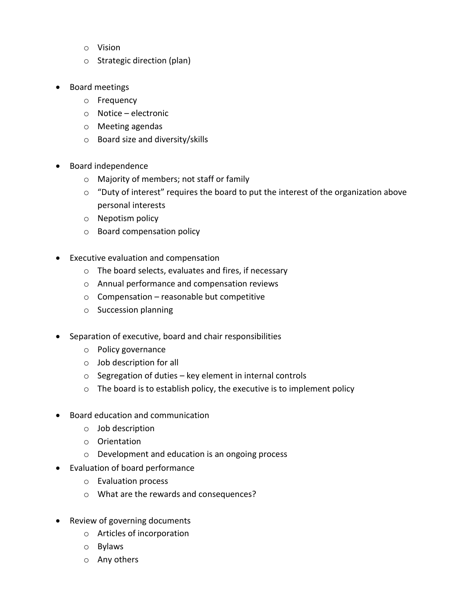- o Vision
- o Strategic direction (plan)
- Board meetings
	- o Frequency
	- o Notice electronic
	- o Meeting agendas
	- o Board size and diversity/skills
- Board independence
	- o Majority of members; not staff or family
	- $\circ$  "Duty of interest" requires the board to put the interest of the organization above personal interests
	- o Nepotism policy
	- o Board compensation policy
- Executive evaluation and compensation
	- o The board selects, evaluates and fires, if necessary
	- o Annual performance and compensation reviews
	- $\circ$  Compensation reasonable but competitive
	- o Succession planning
- Separation of executive, board and chair responsibilities
	- o Policy governance
	- o Job description for all
	- o Segregation of duties key element in internal controls
	- o The board is to establish policy, the executive is to implement policy
- Board education and communication
	- o Job description
	- o Orientation
	- o Development and education is an ongoing process
- Evaluation of board performance
	- o Evaluation process
	- o What are the rewards and consequences?
- Review of governing documents
	- o Articles of incorporation
	- o Bylaws
	- o Any others